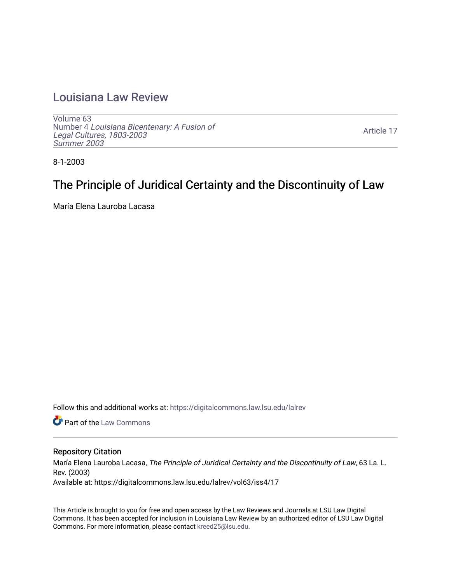## [Louisiana Law Review](https://digitalcommons.law.lsu.edu/lalrev)

[Volume 63](https://digitalcommons.law.lsu.edu/lalrev/vol63) Number 4 [Louisiana Bicentenary: A Fusion of](https://digitalcommons.law.lsu.edu/lalrev/vol63/iss4) [Legal Cultures, 1803-2003](https://digitalcommons.law.lsu.edu/lalrev/vol63/iss4) [Summer 2003](https://digitalcommons.law.lsu.edu/lalrev/vol63/iss4) 

[Article 17](https://digitalcommons.law.lsu.edu/lalrev/vol63/iss4/17) 

8-1-2003

# The Principle of Juridical Certainty and the Discontinuity of Law

María Elena Lauroba Lacasa

Follow this and additional works at: [https://digitalcommons.law.lsu.edu/lalrev](https://digitalcommons.law.lsu.edu/lalrev?utm_source=digitalcommons.law.lsu.edu%2Flalrev%2Fvol63%2Fiss4%2F17&utm_medium=PDF&utm_campaign=PDFCoverPages)

**C** Part of the [Law Commons](https://network.bepress.com/hgg/discipline/578?utm_source=digitalcommons.law.lsu.edu%2Flalrev%2Fvol63%2Fiss4%2F17&utm_medium=PDF&utm_campaign=PDFCoverPages)

#### Repository Citation

María Elena Lauroba Lacasa, The Principle of Juridical Certainty and the Discontinuity of Law, 63 La. L. Rev. (2003) Available at: https://digitalcommons.law.lsu.edu/lalrev/vol63/iss4/17

This Article is brought to you for free and open access by the Law Reviews and Journals at LSU Law Digital Commons. It has been accepted for inclusion in Louisiana Law Review by an authorized editor of LSU Law Digital Commons. For more information, please contact [kreed25@lsu.edu](mailto:kreed25@lsu.edu).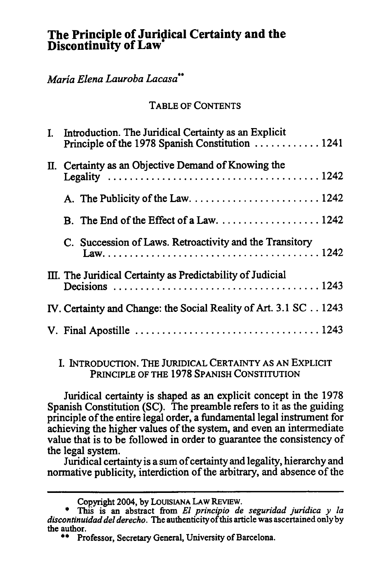## **The Principle of Juridical Certainty and the Discontinuity of Law\***

### *MariaElenaLauroba Lacasa\*"*

#### TABLE OF CONTENTS

| I. Introduction. The Juridical Certainty as an Explicit<br>Principle of the 1978 Spanish Constitution 1241                                                        |
|-------------------------------------------------------------------------------------------------------------------------------------------------------------------|
| II. Certainty as an Objective Demand of Knowing the<br>Legality $\ldots \ldots \ldots \ldots \ldots \ldots \ldots \ldots \ldots \ldots \ldots \ldots \ldots 1242$ |
|                                                                                                                                                                   |
| B. The End of the Effect of a Law. $\dots \dots \dots \dots \dots \dots \dots 1242$                                                                               |
| C. Succession of Laws. Retroactivity and the Transitory                                                                                                           |
| III. The Juridical Certainty as Predictability of Judicial                                                                                                        |
| IV. Certainty and Change: the Social Reality of Art. 3.1 SC 1243                                                                                                  |
|                                                                                                                                                                   |

#### I. INTRODUCTION. THE JURIDICAL CERTAINTY **AS AN** EXPLICIT PRINCIPLE OF THE 1978 SPANISH CONSTITUTION

Juridical certainty is shaped as an explicit concept in the 1978 Spanish Constitution (SC). The preamble refers to it as the guiding principle of the entire legal order, a fundamental legal instrument for achieving the higher values of the system, and even an intermediate value that is to be followed in order to guarantee the consistency of the legal system.

Juridical certainty is a sum of certainty and legality, hierarchy and normative publicity, interdiction of the arbitrary, and absence of the

Copyright 2004, **by LOUISIANA LAW REVIEW.** 

**<sup>\*</sup>** Thi is an abstract from *El principio de seguridad juridica y la discontinuidaddelderecho.* The authenticity ofthis article was ascertained only **by**  the author.

**<sup>\*\*</sup>** Professor, Secretary General, University of Barcelona.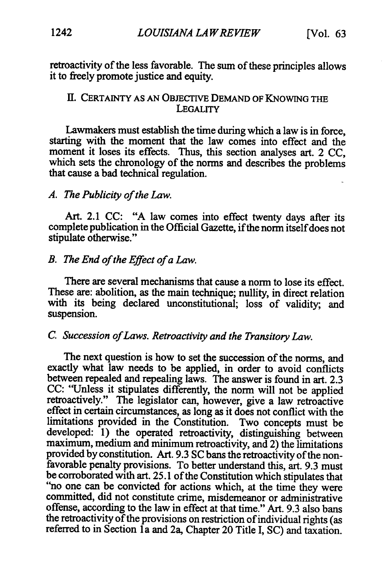retroactivity of the less favorable. The sum of these principles allows it to freely promote justice and equity.

#### HI. CERTAINTY AS AN OBJEcTIVE DEMAND OF KNOWING THE LEGALITY

Lawmakers must establish the time during which a law is in force, starting with the moment that the law comes into effect and the moment it loses its effects. Thus, this section analyses art. 2 CC, which sets the chronology of the norms and describes the problems that cause a bad technical regulation.

#### *A. The Publicityofthe Law.*

Art. 2.1 CC: "A law comes into effect twenty days after its complete publication in the Official Gazette, if the norm itself does not stipulate otherwise."

#### *B. The End ofthe Effect ofaLaw.*

There are several mechanisms that cause a norm to lose its effect. These are: abolition, as the main technique; nullity, in direct relation with its being declared unconstitutional; loss of validity, and suspension.

## *C. Succession ofLaws. Retroactivityandthe TransitoryLaw.*

The next question is how to set the succession of the norms, and exactly what law needs to be applied, in order to avoid conflicts between repealed and repealing laws. The answer is found in art. 2.3 CC: "Unless it stipulates differently, the norm will not be applied retroactively." The legislator can, however, give a law retroactive effect in certain circumstances, as long as it does not conflict with the limitations provided in the Constitution. Two concepts must be developed: 1) the operated retroactivity, distinguishing between maximum, medium and minimum retroactivity, and 2) the limitations provided by constitution. Art. 9.3 SC bans the retroactivity of the nonfavorable penalty provisions. To better understand this, art. 9.3 must be corroborated with art. 25.1 of the Constitution which stipulates that "no one can be convicted for actions which, at the time they were committed, did not constitute crime, misdemeanor or administrative offense, according to the law in effect at that time." Art. 9.3 also bans the retroactivity of the provisions on restriction of individual rights (as referred to in Section 1a and 2a, Chapter 20 Title I, SC) and taxation.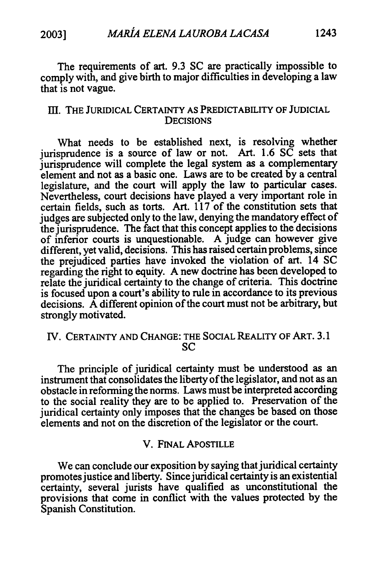The requirements of art. **9.3 SC** are practically impossible to comply with, and give birth to major difficulties in developing a law that is not vague.

#### **Ill.** THE JURIDICAL CERTAINTY **AS** PREDICTABILITY OF **JUDICIAL DECISIONS**

What needs to be established next, is resolving whether jurisprudence is a source of law or not. Art. 1.6  $S\overline{C}$  sets that jurisprudence will complete the legal system as a complementary element and not as a basic one. Laws are to be created **by** a central legislature, and the court will apply the law to particular cases. Nevertheless, court decisions have played a very important role in certain fields, such as torts. Art. 117 of the constitution sets that judges are subjected only to the law, denying the mandatory effect of the jurisprudence. The fact that this concept applies to the decisions of inferior courts is unquestionable. A judge can however give different, yet valid, decisions. This has raised certain problems, since the prejudiced parties have invoked the violation of art. 14 SC regarding the right to equity. **A** new doctrine has been developed to relate the juridical certainty to the change of criteria. This doctrine is focused upon a court's ability to rule in accordance to its previous decisions. A different opinion of the court must not be arbitrary, but strongly motivated.

#### **IV.** CERTAINTY AND CHANGE: THE SOCIAL REALITY OF ART. **3.1**  SC

The principle of juridical certainty must be understood as an instrument that consolidates the liberty of the legislator, and not as an obstacle in reforming the norms. Laws must be interpreted according to the social reality they are to be applied to. Preservation of the juridical certainty only imposes that the changes be based on those elements and not on the discretion of the legislator or the court.

#### V. **FINAL** APOSTILLE

We can conclude our exposition **by** saying that juridical certainty promotes justice and liberty. Since juridical certainty is an existential certainty, several jurists have qualified as unconstitutional the provisions that come in conflict with the values protected **by** the Spanish Constitution.